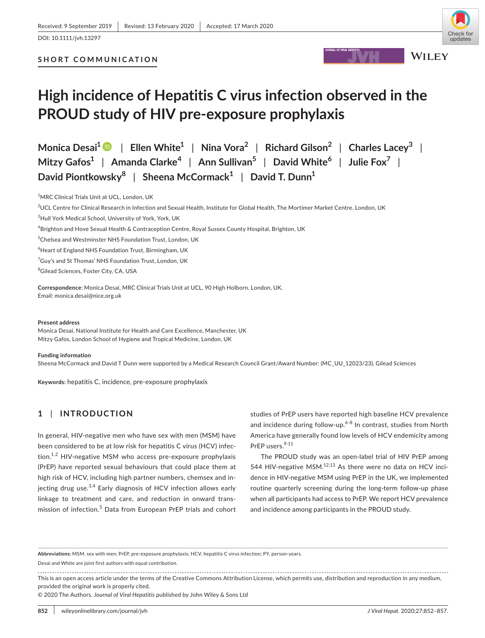# **SHORT COMMUNICATION**

# **High incidence of Hepatitis C virus infection observed in the PROUD study of HIV pre-exposure prophylaxis**

**Monica Desai1** | **Ellen White1** | **Nina Vora2** | **Richard Gilson2** | **Charles Lacey<sup>3</sup>** | **Mitzy Gafos1** | **Amanda Clarke<sup>4</sup>** | **Ann Sullivan5** | **David White<sup>6</sup>** | **Julie Fox7** | **David Piontkowsky<sup>8</sup>** | **Sheena McCormack1** | **David T. Dunn1**

<sup>1</sup>MRC Clinical Trials Unit at UCL, London, UK

 $^2$ UCL Centre for Clinical Research in Infection and Sexual Health, Institute for Global Health, The Mortimer Market Centre, London, UK

3 Hull York Medical School, University of York, York, UK

4 Brighton and Hove Sexual Health & Contraception Centre, Royal Sussex County Hospital, Brighton, UK

5 Chelsea and Westminster NHS Foundation Trust, London, UK

6 Heart of England NHS Foundation Trust, Birmingham, UK

<sup>7</sup>Guy's and St Thomas' NHS Foundation Trust, London, UK

<sup>8</sup>Gilead Sciences, Foster City, CA, USA

**Correspondence**: Monica Desai, MRC Clinical Trials Unit at UCL, 90 High Holborn, London, UK. Email: [monica.desai@nice.org.uk](mailto:monica.desai@nice.org.uk)

#### **Present address**

Monica Desai, National Institute for Health and Care Excellence, Manchester, UK Mitzy Gafos, London School of Hygiene and Tropical Medicine, London, UK

#### **Funding information**

Sheena McCormack and David T Dunn were supported by a Medical Research Council Grant/Award Number: (MC\_UU\_12023/23), Gilead Sciences

**Keywords:** hepatitis C, incidence, pre-exposure prophylaxis

# **1** | **INTRODUCTION**

In general, HIV-negative men who have sex with men (MSM) have been considered to be at low risk for hepatitis C virus (HCV) infection. $1,2$  HIV-negative MSM who access pre-exposure prophylaxis (PrEP) have reported sexual behaviours that could place them at high risk of HCV, including high partner numbers, chemsex and injecting drug use. $3,4$  Early diagnosis of HCV infection allows early linkage to treatment and care, and reduction in onward transmission of infection.<sup>5</sup> Data from European PrEP trials and cohort studies of PrEP users have reported high baseline HCV prevalence and incidence during follow-up. $6-8$  In contrast, studies from North America have generally found low levels of HCV endemicity among PrEP users.<sup>9-11</sup>

The PROUD study was an open-label trial of HIV PrEP among 544 HIV-negative MSM. $12,13$  As there were no data on HCV incidence in HIV-negative MSM using PrEP in the UK, we implemented routine quarterly screening during the long-term follow-up phase when all participants had access to PrEP. We report HCV prevalence and incidence among participants in the PROUD study.

**Abbreviations:** MSM, sex with men; PrEP, pre-exposure prophylaxis; HCV, hepatitis C virus infection; PY, person-years.

Desai and White are joint first authors with equal contribution.

This is an open access article under the terms of the [Creative Commons Attribution](http://creativecommons.org/licenses/by/4.0/) License, which permits use, distribution and reproduction in any medium, provided the original work is properly cited.

© 2020 The Authors. *Journal of Viral Hepatitis* published by John Wiley & Sons Ltd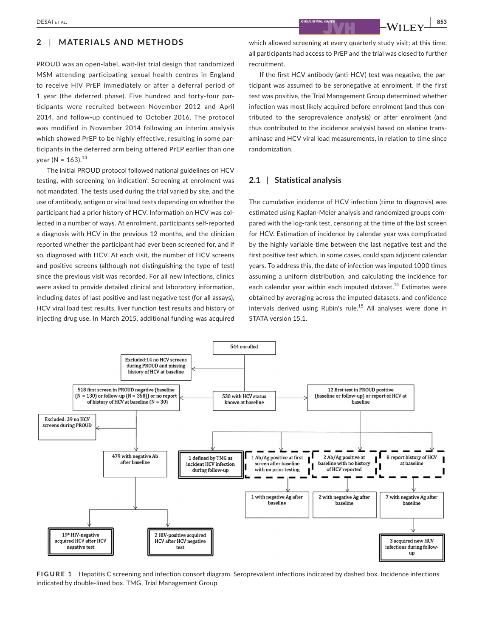#### **2** | **MATERIALS AND METHODS**

PROUD was an open-label, wait-list trial design that randomized MSM attending participating sexual health centres in England to receive HIV PrEP immediately or after a deferral period of 1 year (the deferred phase). Five hundred and forty-four participants were recruited between November 2012 and April 2014, and follow-up continued to October 2016. The protocol was modified in November 2014 following an interim analysis which showed PrEP to be highly effective, resulting in some participants in the deferred arm being offered PrEP earlier than one year (N =  $163$ ).<sup>13</sup>

The initial PROUD protocol followed national guidelines on HCV testing, with screening 'on indication'. Screening at enrolment was not mandated. The tests used during the trial varied by site, and the use of antibody, antigen or viral load tests depending on whether the participant had a prior history of HCV. Information on HCV was collected in a number of ways. At enrolment, participants self-reported a diagnosis with HCV in the previous 12 months, and the clinician reported whether the participant had ever been screened for, and if so, diagnosed with HCV. At each visit, the number of HCV screens and positive screens (although not distinguishing the type of test) since the previous visit was recorded. For all new infections, clinics were asked to provide detailed clinical and laboratory information, including dates of last positive and last negative test (for all assays), HCV viral load test results, liver function test results and history of injecting drug use. In March 2015, additional funding was acquired

which allowed screening at every quarterly study visit; at this time, all participants had access to PrEP and the trial was closed to further recruitment.

If the first HCV antibody (anti-HCV) test was negative, the participant was assumed to be seronegative at enrolment. If the first test was positive, the Trial Management Group determined whether infection was most likely acquired before enrolment (and thus contributed to the seroprevalence analysis) or after enrolment (and thus contributed to the incidence analysis) based on alanine transaminase and HCV viral load measurements, in relation to time since randomization.

## **2.1** | **Statistical analysis**

The cumulative incidence of HCV infection (time to diagnosis) was estimated using Kaplan-Meier analysis and randomized groups compared with the log-rank test, censoring at the time of the last screen for HCV. Estimation of incidence by calendar year was complicated by the highly variable time between the last negative test and the first positive test which, in some cases, could span adjacent calendar years. To address this, the date of infection was imputed 1000 times assuming a uniform distribution, and calculating the incidence for each calendar year within each imputed dataset.<sup>14</sup> Estimates were obtained by averaging across the imputed datasets, and confidence intervals derived using Rubin's rule.<sup>15</sup> All analyses were done in STATA version 15.1.



**FIGURE 1** Hepatitis C screening and infection consort diagram. Seroprevalent infections indicated by dashed box. Incidence infections indicated by double-lined box. TMG, Trial Management Group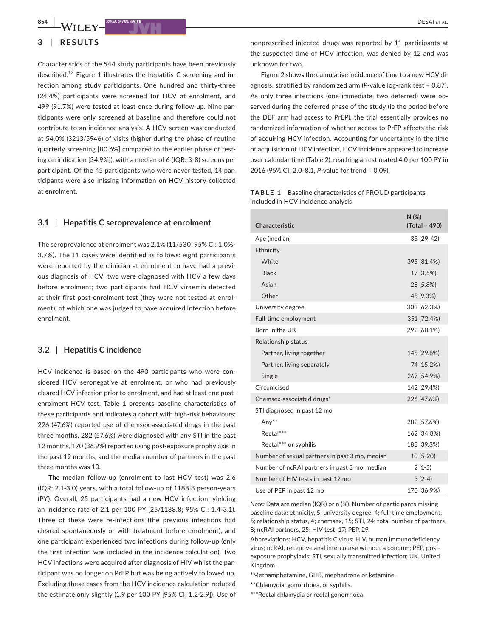#### **3** | **RESULTS**

Characteristics of the 544 study participants have been previously described.<sup>13</sup> Figure 1 illustrates the hepatitis C screening and infection among study participants. One hundred and thirty-three (24.4%) participants were screened for HCV at enrolment, and 499 (91.7%) were tested at least once during follow-up. Nine participants were only screened at baseline and therefore could not contribute to an incidence analysis. A HCV screen was conducted at 54.0% (3213/5946) of visits (higher during the phase of routine quarterly screening [80.6%] compared to the earlier phase of testing on indication [34.9%]), with a median of 6 (IQR: 3-8) screens per participant. Of the 45 participants who were never tested, 14 participants were also missing information on HCV history collected at enrolment.

### **3.1** | **Hepatitis C seroprevalence at enrolment**

The seroprevalence at enrolment was 2.1% (11/530; 95% CI: 1.0%- 3.7%). The 11 cases were identified as follows: eight participants were reported by the clinician at enrolment to have had a previous diagnosis of HCV; two were diagnosed with HCV a few days before enrolment; two participants had HCV viraemia detected at their first post-enrolment test (they were not tested at enrolment), of which one was judged to have acquired infection before enrolment.

#### **3.2** | **Hepatitis C incidence**

HCV incidence is based on the 490 participants who were considered HCV seronegative at enrolment, or who had previously cleared HCV infection prior to enrolment, and had at least one postenrolment HCV test. Table 1 presents baseline characteristics of these participants and indicates a cohort with high-risk behaviours: 226 (47.6%) reported use of chemsex-associated drugs in the past three months, 282 (57.6%) were diagnosed with any STI in the past 12 months, 170 (36.9%) reported using post-exposure prophylaxis in the past 12 months, and the median number of partners in the past three months was 10.

The median follow-up (enrolment to last HCV test) was 2.6 (IQR: 2.1-3.0) years, with a total follow-up of 1188.8 person-years (PY). Overall, 25 participants had a new HCV infection, yielding an incidence rate of 2.1 per 100 PY (25/1188.8; 95% CI: 1.4-3.1). Three of these were re-infections (the previous infections had cleared spontaneously or with treatment before enrolment), and one participant experienced two infections during follow-up (only the first infection was included in the incidence calculation). Two HCV infections were acquired after diagnosis of HIV whilst the participant was no longer on PrEP but was being actively followed up. Excluding these cases from the HCV incidence calculation reduced the estimate only slightly (1.9 per 100 PY [95% CI: 1.2-2.9]). Use of

nonprescribed injected drugs was reported by 11 participants at the suspected time of HCV infection, was denied by 12 and was unknown for two.

Figure 2 shows the cumulative incidence of time to a new HCV diagnosis, stratified by randomized arm (*P*-value log-rank test = 0.87). As only three infections (one immediate, two deferred) were observed during the deferred phase of the study (ie the period before the DEF arm had access to PrEP), the trial essentially provides no randomized information of whether access to PrEP affects the risk of acquiring HCV infection. Accounting for uncertainty in the time of acquisition of HCV infection, HCV incidence appeared to increase over calendar time (Table 2), reaching an estimated 4.0 per 100 PY in 2016 (95% CI: 2.0-8.1, *P*-value for trend = 0.09).

| <b>TABLE 1</b> Baseline characteristics of PROUD participants |
|---------------------------------------------------------------|
| included in HCV incidence analysis                            |

| Characteristic                                 | $N$ (%)<br>(Total = 490) |
|------------------------------------------------|--------------------------|
| Age (median)                                   | 35 (29-42)               |
| Ethnicity                                      |                          |
| White                                          | 395 (81.4%)              |
| <b>Black</b>                                   | 17 (3.5%)                |
| Asian                                          | 28 (5.8%)                |
| Other                                          | 45 (9.3%)                |
| University degree                              | 303 (62.3%)              |
| Full-time employment                           | 351 (72.4%)              |
| Born in the UK                                 | 292 (60.1%)              |
| Relationship status                            |                          |
| Partner, living together                       | 145 (29.8%)              |
| Partner, living separately                     | 74 (15.2%)               |
| Single                                         | 267 (54.9%)              |
| Circumcised                                    | 142 (29.4%)              |
| Chemsex-associated drugs*                      | 226 (47.6%)              |
| STI diagnosed in past 12 mo                    |                          |
| Any $**$                                       | 282 (57.6%)              |
| Rectal***                                      | 162 (34.8%)              |
| Rectal*** or syphilis                          | 183 (39.3%)              |
| Number of sexual partners in past 3 mo, median | $10(5-20)$               |
| Number of ncRAI partners in past 3 mo, median  | $2(1-5)$                 |
| Number of HIV tests in past 12 mo              | $3(2-4)$                 |
| Use of PEP in past 12 mo                       | 170 (36.9%)              |

*Note:* Data are median (IQR) or n (%). Number of participants missing baseline data: ethnicity, 5; university degree, 4; full-time employment, 5; relationship status, 4; chemsex, 15; STI, 24; total number of partners, 8; ncRAI partners, 25; HIV test, 17; PEP, 29.

Abbreviations: HCV, hepatitis C virus; HIV, human immunodeficiency virus; ncRAI, receptive anal intercourse without a condom; PEP, postexposure prophylaxis; STI, sexually transmitted infection; UK, United Kingdom.

- \*Methamphetamine, GHB, mephedrone or ketamine.
- \*\*Chlamydia, gonorrhoea, or syphilis.
- \*\*\*Rectal chlamydia or rectal gonorrhoea.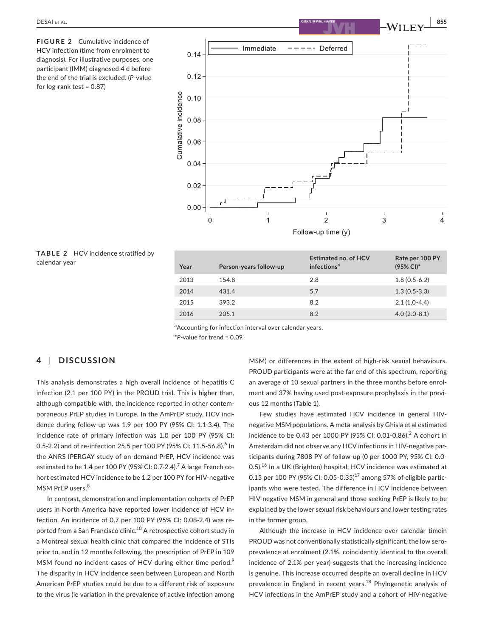**FIGURE 2** Cumulative incidence of HCV infection (time from enrolment to diagnosis). For illustrative purposes, one participant (IMM) diagnosed 4 d before the end of the trial is excluded. (*P*-value for  $log$ -rank test = 0.87)



|               | <b>TABLE 2</b> HCV incidence stratified by |  |
|---------------|--------------------------------------------|--|
| calendar year |                                            |  |

| Year | Person-years follow-up | <b>Estimated no. of HCV</b><br>infections <sup>a</sup> | Rate per 100 PY<br>(95% CI)* |
|------|------------------------|--------------------------------------------------------|------------------------------|
| 2013 | 154.8                  | 2.8                                                    | $1.8(0.5-6.2)$               |
| 2014 | 431.4                  | 5.7                                                    | $1.3(0.5-3.3)$               |
| 2015 | 393.2                  | 8.2                                                    | $2.1(1.0-4.4)$               |
| 2016 | 205.1                  | 8.2                                                    | $4.0(2.0-8.1)$               |
|      |                        |                                                        |                              |

**a** Accounting for infection interval over calendar years. \**P*-value for trend = 0.09.

## **4** | **DISCUSSION**

This analysis demonstrates a high overall incidence of hepatitis C infection (2.1 per 100 PY) in the PROUD trial. This is higher than, although compatible with, the incidence reported in other contemporaneous PrEP studies in Europe. In the AmPrEP study, HCV incidence during follow-up was 1.9 per 100 PY (95% CI: 1.1-3.4). The incidence rate of primary infection was 1.0 per 100 PY (95% CI: 0.5-2.2) and of re-infection 25.5 per 100 PY (95% CI: 11.5-56.8). $^6$  In the ANRS IPERGAY study of on-demand PrEP, HCV incidence was estimated to be 1.4 per 100 PY (95% CI: 0.7-2.4).<sup>7</sup> A large French cohort estimated HCV incidence to be 1.2 per 100 PY for HIV-negative MSM PrEP users.<sup>8</sup>

In contrast, demonstration and implementation cohorts of PrEP users in North America have reported lower incidence of HCV infection. An incidence of 0.7 per 100 PY (95% CI: 0.08-2.4) was reported from a San Francisco clinic.<sup>10</sup> A retrospective cohort study in a Montreal sexual health clinic that compared the incidence of STIs prior to, and in 12 months following, the prescription of PrEP in 109 MSM found no incident cases of HCV during either time period.<sup>9</sup> The disparity in HCV incidence seen between European and North American PrEP studies could be due to a different risk of exposure to the virus (ie variation in the prevalence of active infection among

MSM) or differences in the extent of high-risk sexual behaviours. PROUD participants were at the far end of this spectrum, reporting an average of 10 sexual partners in the three months before enrolment and 37% having used post-exposure prophylaxis in the previous 12 months (Table 1).

Few studies have estimated HCV incidence in general HIVnegative MSM populations. A meta-analysis by Ghisla et al estimated incidence to be 0.43 per 1000 PY (95% CI: 0.01-0.86).<sup>2</sup> A cohort in Amsterdam did not observe any HCV infections in HIV-negative participants during 7808 PY of follow-up (0 per 1000 PY, 95% CI: 0.0- 0.5). $^{16}$  In a UK (Brighton) hospital, HCV incidence was estimated at 0.15 per 100 PY (95% CI: 0.05-0.35)<sup>17</sup> among 57% of eligible participants who were tested. The difference in HCV incidence between HIV-negative MSM in general and those seeking PrEP is likely to be explained by the lower sexual risk behaviours and lower testing rates in the former group.

Although the increase in HCV incidence over calendar timein PROUD was not conventionally statistically significant, the low seroprevalence at enrolment (2.1%, coincidently identical to the overall incidence of 2.1% per year) suggests that the increasing incidence is genuine. This increase occurred despite an overall decline in HCV prevalence in England in recent years.<sup>18</sup> Phylogenetic analysis of HCV infections in the AmPrEP study and a cohort of HIV-negative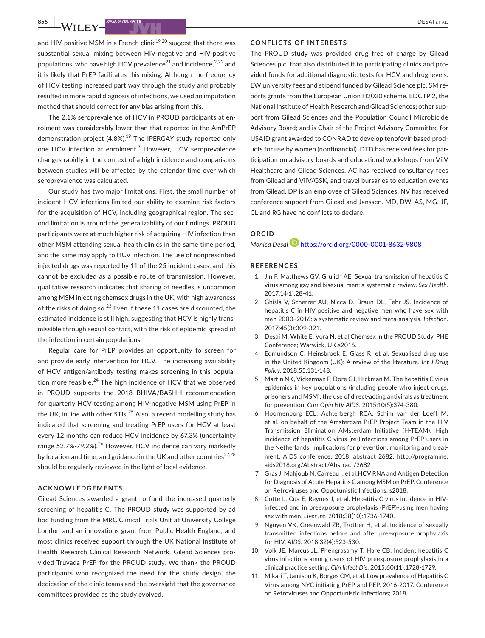and HIV-positive MSM in a French clinic<sup>19,20</sup> suggest that there was substantial sexual mixing between HIV-negative and HIV-positive populations, who have high HCV prevalence<sup>21</sup> and incidence,  $2^{2}$  and it is likely that PrEP facilitates this mixing. Although the frequency of HCV testing increased part way through the study and probably resulted in more rapid diagnosis of infections, we used an imputation method that should correct for any bias arising from this.

The 2.1% seroprevalence of HCV in PROUD participants at enrolment was considerably lower than that reported in the AmPrEP demonstration project  $(4.8\%)$ .<sup>19</sup> The IPERGAY study reported only one HCV infection at enrolment.<sup>7</sup> However, HCV seroprevalence changes rapidly in the context of a high incidence and comparisons between studies will be affected by the calendar time over which seroprevalence was calculated.

Our study has two major limitations. First, the small number of incident HCV infections limited our ability to examine risk factors for the acquisition of HCV, including geographical region. The second limitation is around the generalizability of our findings. PROUD participants were at much higher risk of acquiring HIV infection than other MSM attending sexual health clinics in the same time period, and the same may apply to HCV infection. The use of nonprescribed injected drugs was reported by 11 of the 25 incident cases, and this cannot be excluded as a possible route of transmission. However, qualitative research indicates that sharing of needles is uncommon among MSM injecting chemsex drugs in the UK, with high awareness of the risks of doing so.<sup>23</sup> Even if these 11 cases are discounted, the estimated incidence is still high, suggesting that HCV is highly transmissible through sexual contact, with the risk of epidemic spread of the infection in certain populations.

Regular care for PrEP provides an opportunity to screen for and provide early intervention for HCV. The increasing availability of HCV antigen/antibody testing makes screening in this population more feasible. $24$  The high incidence of HCV that we observed in PROUD supports the 2018 BHIVA/BASHH recommendation for quarterly HCV testing among HIV-negative MSM using PrEP in the UK, in line with other  $STIs.<sup>25</sup>$  Also, a recent modelling study has indicated that screening and treating PrEP users for HCV at least every 12 months can reduce HCV incidence by 67.3% (uncertainty range 52.7%-79.2%).<sup>26</sup> However, HCV incidence can vary markedly by location and time, and guidance in the UK and other countries $^{27,28}$ should be regularly reviewed in the light of local evidence.

#### **ACKNOWLEDGEMENTS**

Gilead Sciences awarded a grant to fund the increased quarterly screening of hepatitis C. The PROUD study was supported by ad hoc funding from the MRC Clinical Trials Unit at University College London and an innovations grant from Public Health England, and most clinics received support through the UK National Institute of Health Research Clinical Research Network. Gilead Sciences provided Truvada PrEP for the PROUD study. We thank the PROUD participants who recognized the need for the study design, the dedication of the clinic teams and the oversight that the governance committees provided as the study evolved.

#### **CONFLICTS OF INTERESTS**

The PROUD study was provided drug free of charge by Gilead Sciences plc. that also distributed it to participating clinics and provided funds for additional diagnostic tests for HCV and drug levels. EW university fees and stipend funded by Gilead Science plc. SM reports grants from the European Union H2020 scheme, EDCTP 2, the National Institute of Health Research and Gilead Sciences; other support from Gilead Sciences and the Population Council Microbicide Advisory Board; and is Chair of the Project Advisory Committee for USAID grant awarded to CONRAD to develop tenofovir-based products for use by women (nonfinancial). DTD has received fees for participation on advisory boards and educational workshops from ViiV Healthcare and Gilead Sciences. AC has received consultancy fees from Gilead and ViiV/GSK, and travel bursaries to education events from Gilead. DP is an employee of Gilead Sciences. NV has received conference support from Gilead and Janssen. MD, DW, AS, MG, JF, CL and RG have no conflicts to declare.

### **ORCID**

*Monica Desai* <https://orcid.org/0000-0001-8632-9808>

#### **REFERENCES**

- 1. Jin F, Matthews GV, Grulich AE. Sexual transmission of hepatitis C virus among gay and bisexual men: a systematic review. *Sex Health*. 2017;14(1):28-41.
- 2. Ghisla V, Scherrer AU, Nicca D, Braun DL, Fehr JS. Incidence of hepatitis C in HIV positive and negative men who have sex with men 2000–2016: a systematic review and meta-analysis. *Infection*. 2017;45(3):309-321.
- 3. Desai M, White E, Vora N, et al.Chemsex in the PROUD Study. PHE Conference; Warwick, UK.s2016.
- 4. Edmundson C, Heinsbroek E, Glass R, et al. Sexualised drug use in the United Kingdom (UK): A review of the literature. *Int J Drug Policy*. 2018;55:131-148.
- 5. Martin NK, Vickerman P, Dore GJ, Hickman M. The hepatitis C virus epidemics in key populations (including people who inject drugs, prisoners and MSM): the use of direct-acting antivirals as treatment for prevention. *Curr Opin HIV AIDS*. 2015;10(5):374-380.
- 6. Hoornenborg ECL, Achterbergh RCA, Schim van der Loeff M, et al. on behalf of the Amsterdam PrEP Project Team in the HIV Transmission Elimination AMsterdam Initiative (H-TEAM). High incidence of hepatitis C virus (re-)infections among PrEP users in the Netherlands: Implications for prevention, monitoring and treatment. AIDS conference. 2018, abstract 2682. [http://programme.](http://programme.aids2018.org/Abstract/Abstract/2682) [aids2018.org/Abstract/Abstract/2682](http://programme.aids2018.org/Abstract/Abstract/2682)
- 7. Gras J, Mahjoub N, Carreau I, et al.HCV RNA and Antigen Detection for Diagnosis of Acute Hepatitis C among MSM on PrEP. Conference on Retroviruses and Oppotunistic Infections; s2018.
- 8. Cotte L, Cua E, Reynes J, et al. Hepatitis C virus incidence in HIVinfected and in preexposure prophylaxis (PrEP)-using men having sex with men. *Liver Int*. 2018;38(10):1736-1740.
- 9. Nguyen VK, Greenwald ZR, Trottier H, et al. Incidence of sexually transmitted infections before and after preexposure prophylaxis for HIV. *AIDS*. 2018;32(4):523-530.
- 10. Volk JE, Marcus JL, Phengrasamy T, Hare CB. Incident hepatitis C virus infections among users of HIV preexposure prophylaxis in a clinical practice setting. *Clin Infect Dis*. 2015;60(11):1728-1729.
- 11. Mikati T, Jamison K, Borges CM, et al. Low prevalence of Hepatitis C Virus among NYC initiating PrEP and PEP, 2016-2017. Conference on Retroviruses and Opportunistic Infections; 2018.